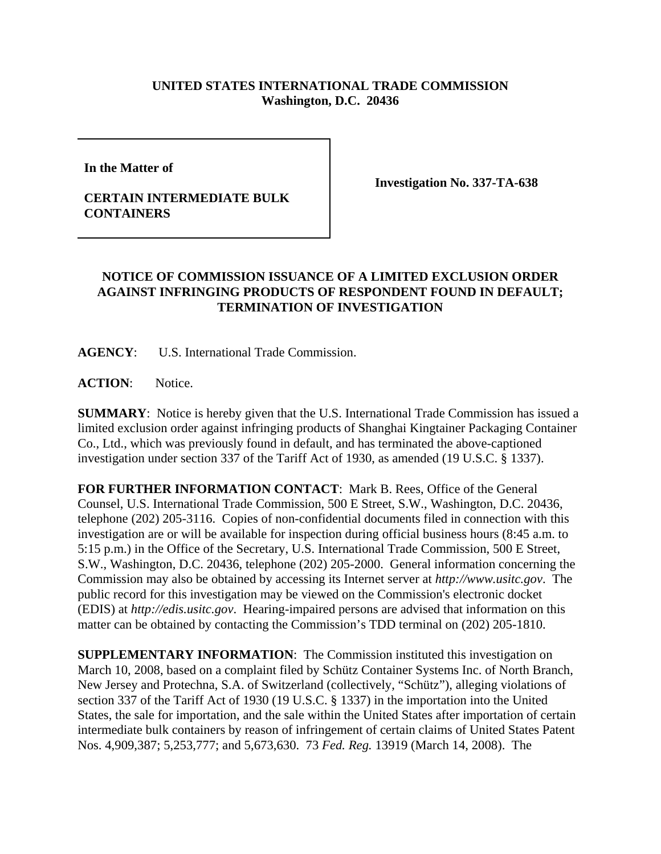## **UNITED STATES INTERNATIONAL TRADE COMMISSION Washington, D.C. 20436**

**In the Matter of** 

## **CERTAIN INTERMEDIATE BULK CONTAINERS**

**Investigation No. 337-TA-638**

## **NOTICE OF COMMISSION ISSUANCE OF A LIMITED EXCLUSION ORDER AGAINST INFRINGING PRODUCTS OF RESPONDENT FOUND IN DEFAULT; TERMINATION OF INVESTIGATION**

**AGENCY**: U.S. International Trade Commission.

ACTION: Notice.

**SUMMARY**: Notice is hereby given that the U.S. International Trade Commission has issued a limited exclusion order against infringing products of Shanghai Kingtainer Packaging Container Co., Ltd., which was previously found in default, and has terminated the above-captioned investigation under section 337 of the Tariff Act of 1930, as amended (19 U.S.C. § 1337).

**FOR FURTHER INFORMATION CONTACT**: Mark B. Rees, Office of the General Counsel, U.S. International Trade Commission, 500 E Street, S.W., Washington, D.C. 20436, telephone (202) 205-3116. Copies of non-confidential documents filed in connection with this investigation are or will be available for inspection during official business hours (8:45 a.m. to 5:15 p.m.) in the Office of the Secretary, U.S. International Trade Commission, 500 E Street, S.W., Washington, D.C. 20436, telephone (202) 205-2000. General information concerning the Commission may also be obtained by accessing its Internet server at *http://www.usitc.gov*. The public record for this investigation may be viewed on the Commission's electronic docket (EDIS) at *http://edis.usitc.gov*. Hearing-impaired persons are advised that information on this matter can be obtained by contacting the Commission's TDD terminal on (202) 205-1810.

**SUPPLEMENTARY INFORMATION:** The Commission instituted this investigation on March 10, 2008, based on a complaint filed by Schütz Container Systems Inc. of North Branch, New Jersey and Protechna, S.A. of Switzerland (collectively, "Schütz"), alleging violations of section 337 of the Tariff Act of 1930 (19 U.S.C. § 1337) in the importation into the United States, the sale for importation, and the sale within the United States after importation of certain intermediate bulk containers by reason of infringement of certain claims of United States Patent Nos. 4,909,387; 5,253,777; and 5,673,630. 73 *Fed. Reg.* 13919 (March 14, 2008). The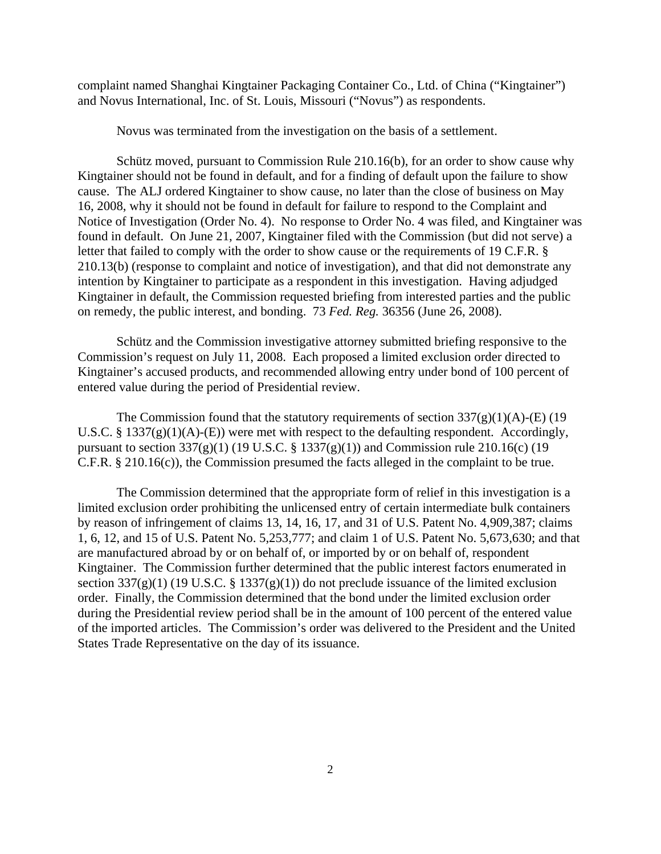complaint named Shanghai Kingtainer Packaging Container Co., Ltd. of China ("Kingtainer") and Novus International, Inc. of St. Louis, Missouri ("Novus") as respondents.

Novus was terminated from the investigation on the basis of a settlement.

Schütz moved, pursuant to Commission Rule 210.16(b), for an order to show cause why Kingtainer should not be found in default, and for a finding of default upon the failure to show cause. The ALJ ordered Kingtainer to show cause, no later than the close of business on May 16, 2008, why it should not be found in default for failure to respond to the Complaint and Notice of Investigation (Order No. 4). No response to Order No. 4 was filed, and Kingtainer was found in default. On June 21, 2007, Kingtainer filed with the Commission (but did not serve) a letter that failed to comply with the order to show cause or the requirements of 19 C.F.R. § 210.13(b) (response to complaint and notice of investigation), and that did not demonstrate any intention by Kingtainer to participate as a respondent in this investigation. Having adjudged Kingtainer in default, the Commission requested briefing from interested parties and the public on remedy, the public interest, and bonding. 73 *Fed. Reg.* 36356 (June 26, 2008).

Schütz and the Commission investigative attorney submitted briefing responsive to the Commission's request on July 11, 2008. Each proposed a limited exclusion order directed to Kingtainer's accused products, and recommended allowing entry under bond of 100 percent of entered value during the period of Presidential review.

The Commission found that the statutory requirements of section  $337(g)(1)(A)$ -(E) (19 U.S.C. §  $1337(g)(1)(A)$ -(E)) were met with respect to the defaulting respondent. Accordingly, pursuant to section  $337(g)(1)$  (19 U.S.C. § 1337(g)(1)) and Commission rule 210.16(c) (19 C.F.R. § 210.16(c)), the Commission presumed the facts alleged in the complaint to be true.

The Commission determined that the appropriate form of relief in this investigation is a limited exclusion order prohibiting the unlicensed entry of certain intermediate bulk containers by reason of infringement of claims 13, 14, 16, 17, and 31 of U.S. Patent No. 4,909,387; claims 1, 6, 12, and 15 of U.S. Patent No. 5,253,777; and claim 1 of U.S. Patent No. 5,673,630; and that are manufactured abroad by or on behalf of, or imported by or on behalf of, respondent Kingtainer. The Commission further determined that the public interest factors enumerated in section  $337(g)(1)$  (19 U.S.C. § 1337(g)(1)) do not preclude issuance of the limited exclusion order. Finally, the Commission determined that the bond under the limited exclusion order during the Presidential review period shall be in the amount of 100 percent of the entered value of the imported articles. The Commission's order was delivered to the President and the United States Trade Representative on the day of its issuance.